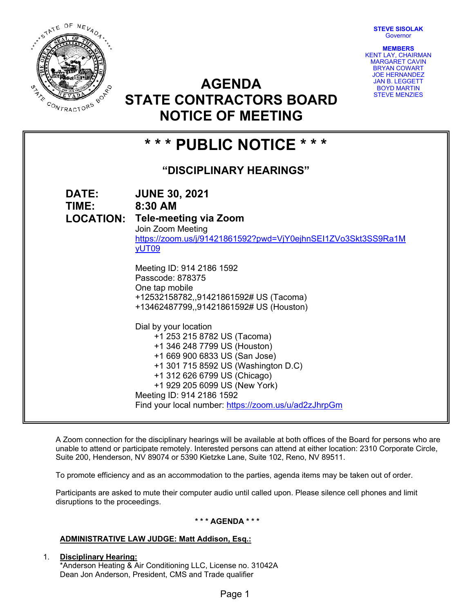**STEVE SISOLAK Governor** 

**MEMBERS**  KENT LAY, CHAIRMAN



MARGARET CAVIN BRYAN COWART JOE HERNANDEZ JAN B. LEGGETT BOYD MARTIN STEVE MENZIES **AGENDA STATE CONTRACTORS BOARD** 



A Zoom connection for the disciplinary hearings will be available at both offices of the Board for persons who are unable to attend or participate remotely. Interested persons can attend at either location: 2310 Corporate Circle, Suite 200, Henderson, NV 89074 or 5390 Kietzke Lane, Suite 102, Reno, NV 89511.

To promote efficiency and as an accommodation to the parties, agenda items may be taken out of order.

Participants are asked to mute their computer audio until called upon. Please silence cell phones and limit disruptions to the proceedings.

## **\* \* \* AGENDA \* \* \***

## **ADMINISTRATIVE LAW JUDGE: Matt Addison, Esq.:**

1. **Disciplinary Hearing:**  \*Anderson Heating & Air Conditioning LLC, License no. 31042A Dean Jon Anderson, President, CMS and Trade qualifier